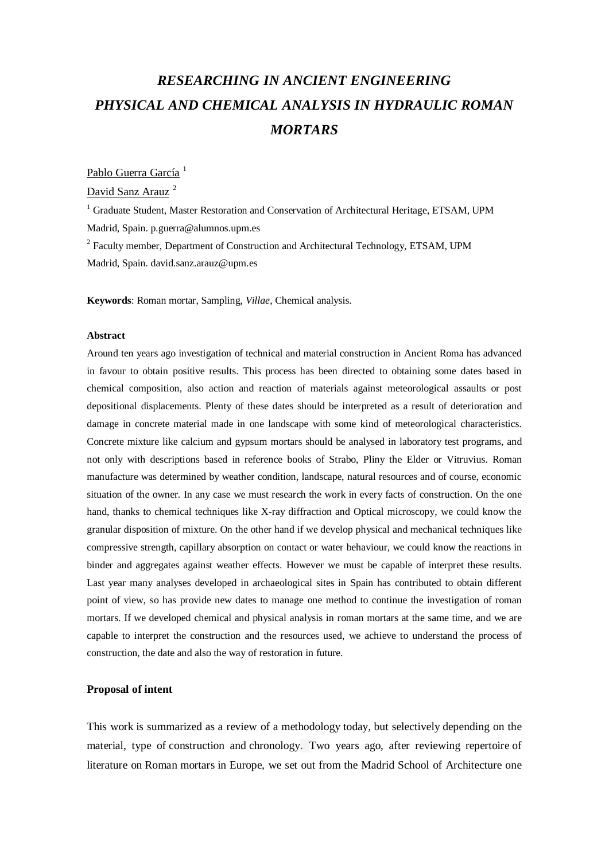# *RESEARCHING IN ANCIENT ENGINEERING PHYSICAL AND CHEMICAL ANALYSIS IN HYDRAULIC ROMAN MORTARS*

### Pablo Guerra García<sup>1</sup>

David Sanz Arauz<sup>2</sup>

<sup>1</sup> Graduate Student, Master Restoration and Conservation of Architectural Heritage, ETSAM, UPM Madrid, Spain. p.guerra@alumnos.upm.es <sup>2</sup> Faculty member, Department of Construction and Architectural Technology, ETSAM, UPM

Madrid, Spain. david.sanz.arauz@upm.es

**Keywords**: Roman mortar, Sampling, *Villae*, Chemical analysis.

#### **Abstract**

Around ten years ago investigation of technical and material construction in Ancient Roma has advanced in favour to obtain positive results. This process has been directed to obtaining some dates based in chemical composition, also action and reaction of materials against meteorological assaults or post depositional displacements. Plenty of these dates should be interpreted as a result of deterioration and damage in concrete material made in one landscape with some kind of meteorological characteristics. Concrete mixture like calcium and gypsum mortars should be analysed in laboratory test programs, and not only with descriptions based in reference books of Strabo, Pliny the Elder or Vitruvius. Roman manufacture was determined by weather condition, landscape, natural resources and of course, economic situation of the owner. In any case we must research the work in every facts of construction. On the one hand, thanks to chemical techniques like X-ray diffraction and Optical microscopy, we could know the granular disposition of mixture. On the other hand if we develop physical and mechanical techniques like compressive strength, capillary absorption on contact or water behaviour, we could know the reactions in binder and aggregates against weather effects. However we must be capable of interpret these results. Last year many analyses developed in archaeological sites in Spain has contributed to obtain different point of view, so has provide new dates to manage one method to continue the investigation of roman mortars. If we developed chemical and physical analysis in roman mortars at the same time, and we are capable to interpret the construction and the resources used, we achieve to understand the process of construction, the date and also the way of restoration in future.

#### **Proposal of intent**

This work is summarized as a review of a methodology today, but selectively depending on the material, type of construction and chronology. Two years ago, after reviewing repertoire of literature on Roman mortars in Europe, we set out from the Madrid School of Architecture one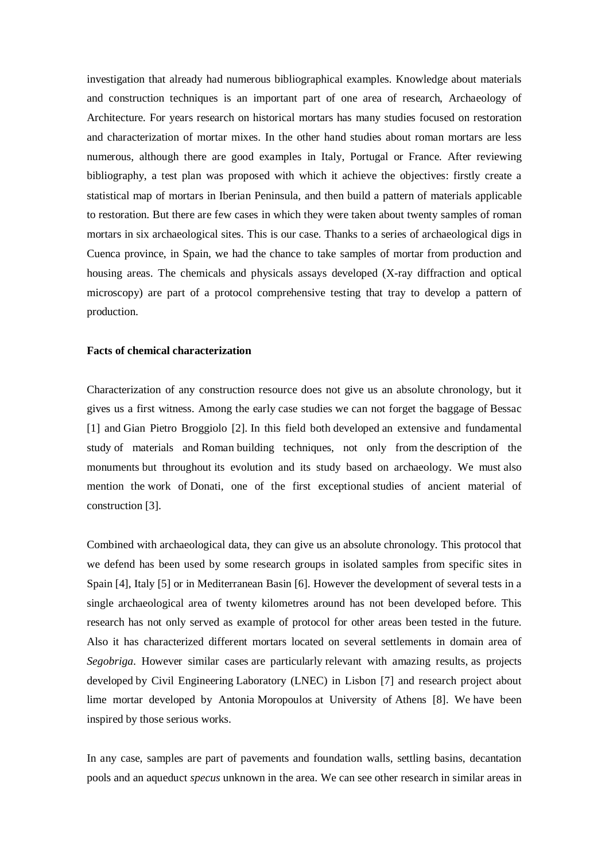investigation that already had numerous bibliographical examples. Knowledge about materials and construction techniques is an important part of one area of research, Archaeology of Architecture. For years research on historical mortars has many studies focused on restoration and characterization of mortar mixes. In the other hand studies about roman mortars are less numerous, although there are good examples in Italy, Portugal or France. After reviewing bibliography, a test plan was proposed with which it achieve the objectives: firstly create a statistical map of mortars in Iberian Peninsula, and then build a pattern of materials applicable to restoration. But there are few cases in which they were taken about twenty samples of roman mortars in six archaeological sites. This is our case. Thanks to a series of archaeological digs in Cuenca province, in Spain, we had the chance to take samples of mortar from production and housing areas. The chemicals and physicals assays developed (X-ray diffraction and optical microscopy) are part of a protocol comprehensive testing that tray to develop a pattern of production.

#### **Facts of chemical characterization**

Characterization of any construction resource does not give us an absolute chronology, but it gives us a first witness. Among the early case studies we can not forget the baggage of Bessac [1] and Gian Pietro Broggiolo [2]. In this field both developed an extensive and fundamental study of materials and Roman building techniques, not only from the description of the monuments but throughout its evolution and its study based on archaeology. We must also mention the work of Donati, one of the first exceptional studies of ancient material of construction [3].

Combined with archaeological data, they can give us an absolute chronology. This protocol that we defend has been used by some research groups in isolated samples from specific sites in Spain [4], Italy [5] or in Mediterranean Basin [6]. However the development of several tests in a single archaeological area of twenty kilometres around has not been developed before. This research has not only served as example of protocol for other areas been tested in the future. Also it has characterized different mortars located on several settlements in domain area of *Segobriga*. However similar cases are particularly relevant with amazing results, as projects developed by Civil Engineering Laboratory (LNEC) in Lisbon [7] and research project about lime mortar developed by Antonia Moropoulos at University of Athens [8]. We have been inspired by those serious works.

In any case, samples are part of pavements and foundation walls, settling basins, decantation pools and an aqueduct *specus* unknown in the area. We can see other research in similar areas in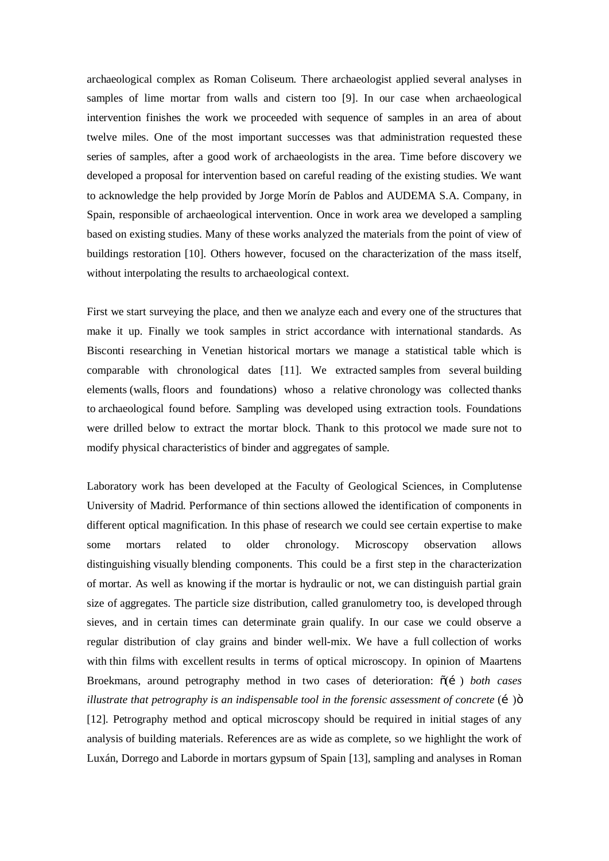archaeological complex as Roman Coliseum. There archaeologist applied several analyses in samples of lime mortar from walls and cistern too [9]. In our case when archaeological intervention finishes the work we proceeded with sequence of samples in an area of about twelve miles. One of the most important successes was that administration requested these series of samples, after a good work of archaeologists in the area. Time before discovery we developed a proposal for intervention based on careful reading of the existing studies. We want to acknowledge the help provided by Jorge Morín de Pablos and AUDEMA S.A. Company, in Spain, responsible of archaeological intervention. Once in work area we developed a sampling based on existing studies. Many of these works analyzed the materials from the point of view of buildings restoration [10]. Others however, focused on the characterization of the mass itself, without interpolating the results to archaeological context.

First we start surveying the place, and then we analyze each and every one of the structures that make it up. Finally we took samples in strict accordance with international standards. As Bisconti researching in Venetian historical mortars we manage a statistical table which is comparable with chronological dates [11]. We extracted samples from several building elements (walls, floors and foundations) whoso a relative chronology was collected thanks to archaeological found before. Sampling was developed using extraction tools. Foundations were drilled below to extract the mortar block. Thank to this protocol we made sure not to modify physical characteristics of binder and aggregates of sample.

Laboratory work has been developed at the Faculty of Geological Sciences, in Complutense University of Madrid. Performance of thin sections allowed the identification of components in different optical magnification. In this phase of research we could see certain expertise to make some mortars related to older chronology. Microscopy observation allows distinguishing visually blending components. This could be a first step in the characterization of mortar. As well as knowing if the mortar is hydraulic or not, we can distinguish partial grain size of aggregates. The particle size distribution, called granulometry too, is developed through sieves, and in certain times can determinate grain qualify. In our case we could observe a regular distribution of clay grains and binder well-mix. We have a full collection of works with thin films with excellent results in terms of optical microscopy. In opinion of Maartens Broekmans, around petrography method in two cases of deterioration:  $\tilde{o}(i)$  *both cases illustrate that petrography is an indispensable tool in the forensic assessment of concrete*  $(i)$ [12]. Petrography method and optical microscopy should be required in initial stages of any analysis of building materials. References are as wide as complete, so we highlight the work of Luxán, Dorrego and Laborde in mortars gypsum of Spain [13], sampling and analyses in Roman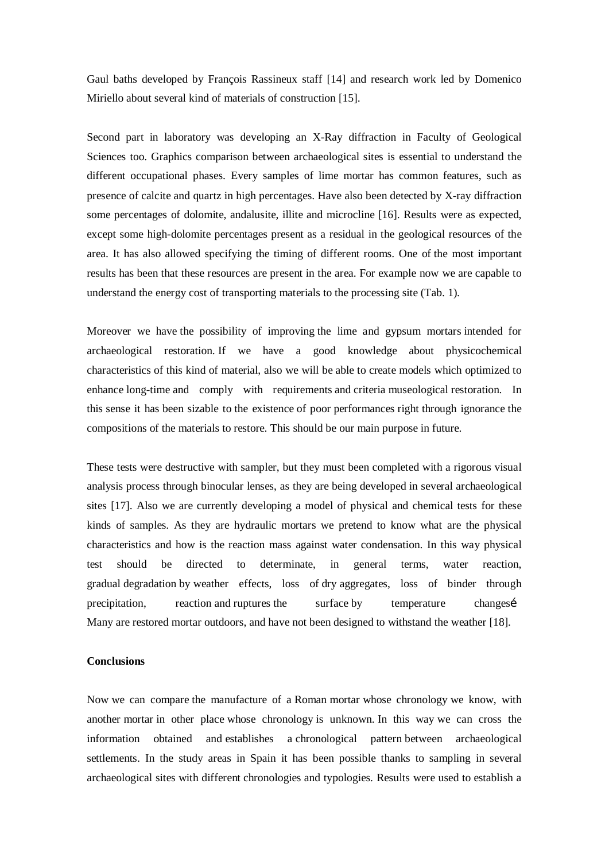Gaul baths developed by François Rassineux staff [14] and research work led by Domenico Miriello about several kind of materials of construction [15].

Second part in laboratory was developing an X-Ray diffraction in Faculty of Geological Sciences too. Graphics comparison between archaeological sites is essential to understand the different occupational phases. Every samples of lime mortar has common features, such as presence of calcite and quartz in high percentages. Have also been detected by X-ray diffraction some percentages of dolomite, andalusite, illite and microcline [16]. Results were as expected, except some high-dolomite percentages present as a residual in the geological resources of the area. It has also allowed specifying the timing of different rooms. One of the most important results has been that these resources are present in the area. For example now we are capable to understand the energy cost of transporting materials to the processing site (Tab. 1).

Moreover we have the possibility of improving the lime and gypsum mortars intended for archaeological restoration. If we have a good knowledge about physicochemical characteristics of this kind of material, also we will be able to create models which optimized to enhance long-time and comply with requirements and criteria museological restoration. In this sense it has been sizable to the existence of poor performances right through ignorance the compositions of the materials to restore. This should be our main purpose in future.

These tests were destructive with sampler, but they must been completed with a rigorous visual analysis process through binocular lenses, as they are being developed in several archaeological sites [17]. Also we are currently developing a model of physical and chemical tests for these kinds of samples. As they are hydraulic mortars we pretend to know what are the physical characteristics and how is the reaction mass against water condensation. In this way physical test should be directed to determinate, in general terms, water reaction, gradual degradation by weather effects, loss of dry aggregates, loss of binder through precipitation, reaction and ruptures the surface by temperature changes Many are restored mortar outdoors, and have not been designed to withstand the weather [18].

#### **Conclusions**

Now we can compare the manufacture of a Roman mortar whose chronology we know, with another mortar in other place whose chronology is unknown. In this way we can cross the information obtained and establishes a chronological pattern between archaeological settlements. In the study areas in Spain it has been possible thanks to sampling in several archaeological sites with different chronologies and typologies. Results were used to establish a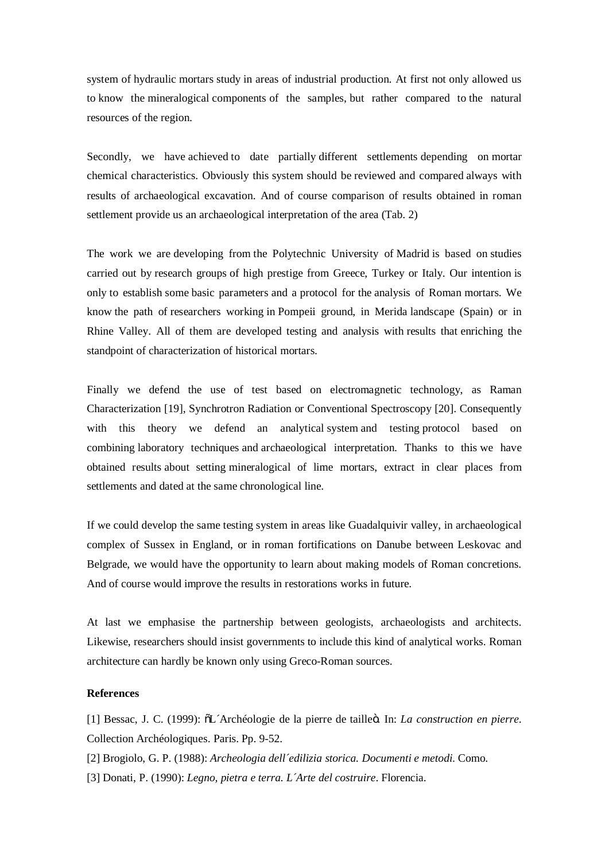system of hydraulic mortars study in areas of industrial production. At first not only allowed us to know the mineralogical components of the samples, but rather compared to the natural resources of the region.

Secondly, we have achieved to date partially different settlements depending on mortar chemical characteristics. Obviously this system should be reviewed and compared always with results of archaeological excavation. And of course comparison of results obtained in roman settlement provide us an archaeological interpretation of the area (Tab. 2)

The work we are developing from the Polytechnic University of Madrid is based on studies carried out by research groups of high prestige from Greece, Turkey or Italy. Our intention is only to establish some basic parameters and a protocol for the analysis of Roman mortars. We know the path of researchers working in Pompeii ground, in Merida landscape (Spain) or in Rhine Valley. All of them are developed testing and analysis with results that enriching the standpoint of characterization of historical mortars.

Finally we defend the use of test based on electromagnetic technology, as Raman Characterization [19], Synchrotron Radiation or Conventional Spectroscopy [20]. Consequently with this theory we defend an analytical system and testing protocol based on combining laboratory techniques and archaeological interpretation. Thanks to this we have obtained results about setting mineralogical of lime mortars, extract in clear places from settlements and dated at the same chronological line.

If we could develop the same testing system in areas like Guadalquivir valley, in archaeological complex of Sussex in England, or in roman fortifications on Danube between Leskovac and Belgrade, we would have the opportunity to learn about making models of Roman concretions. And of course would improve the results in restorations works in future.

At last we emphasise the partnership between geologists, archaeologists and architects. Likewise, researchers should insist governments to include this kind of analytical works. Roman architecture can hardly be known only using Greco-Roman sources.

## **References**

[1] Bessac, J. C. (1999): "L´Archéologie de la pierre de taille". In: *La construction en pierre*. Collection Archéologiques. Paris. Pp. 9-52.

[2] Brogiolo, G. P. (1988): *Archeologia dell´edilizia storica. Documenti e metodi*. Como.

[3] Donati, P. (1990): *Legno, pietra e terra. L´Arte del costruire*. Florencia.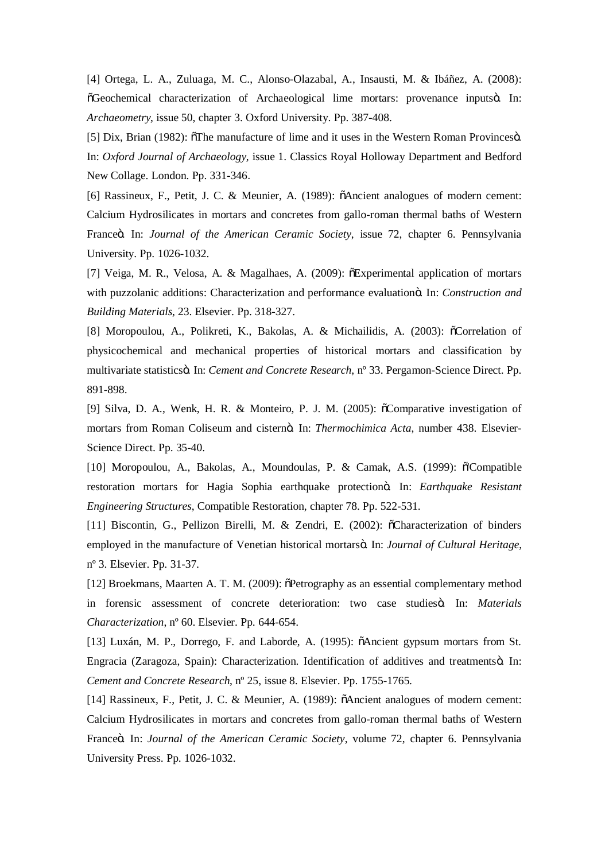[4] Ortega, L. A., Zuluaga, M. C., Alonso-Olazabal, A., Insausti, M. & Ibáñez, A. (2008):  $\delta$ Geochemical characterization of Archaeological lime mortars: provenance inputs $\delta$ . In: *Archaeometry*, issue 50, chapter 3. Oxford University. Pp. 387-408.

[5] Dix, Brian (1982):  $\delta$ The manufacture of lime and it uses in the Western Roman Provinces $\delta$ . In: *Oxford Journal of Archaeology*, issue 1. Classics Royal Holloway Department and Bedford New Collage. London. Pp. 331-346.

[6] Rassineux, F., Petit, J. C. & Meunier, A. (1989):  $\tilde{o}$ Ancient analogues of modern cement: Calcium Hydrosilicates in mortars and concretes from gallo-roman thermal baths of Western Franceö. In: *Journal of the American Ceramic Society*, issue 72, chapter 6. Pennsylvania University. Pp. 1026-1032.

[7] Veiga, M. R., Velosa, A. & Magalhaes, A. (2009):  $\delta$ Experimental application of mortars with puzzolanic additions: Characterization and performance evaluationö. In: *Construction and Building Materials*, 23. Elsevier. Pp. 318-327.

[8] Moropoulou, A., Polikreti, K., Bakolas, A. & Michailidis, A. (2003):  $\tilde{o}$ Correlation of physicochemical and mechanical properties of historical mortars and classification by multivariate statistics". In: *Cement and Concrete Research*, nº 33. Pergamon-Science Direct. Pp. 891-898.

[9] Silva, D. A., Wenk, H. R. & Monteiro, P. J. M. (2005):  $\delta$ Comparative investigation of mortars from Roman Coliseum and cisternö. In: *Thermochimica Acta*, number 438. Elsevier-Science Direct. Pp. 35-40.

[10] Moropoulou, A., Bakolas, A., Moundoulas, P. & Camak, A.S. (1999): ö'Compatible restoration mortars for Hagia Sophia earthquake protectionö. In: *Earthquake Resistant Engineering Structures*, Compatible Restoration, chapter 78. Pp. 522-531.

[11] Biscontin, G., Pellizon Birelli, M. & Zendri, E. (2002):  $\tilde{o}$ Characterization of binders employed in the manufacture of Venetian historical mortarsö. In: *Journal of Cultural Heritage*, nº 3. Elsevier. Pp. 31-37.

[12] Broekmans, Maarten A. T. M. (2009):  $\delta$ Petrography as an essential complementary method in forensic assessment of concrete deterioration: two case studies<sub>"</sub>. In: *Materials Characterization*, nº 60. Elsevier. Pp. 644-654.

[13] Luxán, M. P., Dorrego, F. and Laborde, A. (1995):  $\delta$ Ancient gypsum mortars from St. Engracia (Zaragoza, Spain): Characterization. Identification of additives and treatmentsö. In: *Cement and Concrete Research*, nº 25, issue 8. Elsevier. Pp. 1755-1765.

[14] Rassineux, F., Petit, J. C. & Meunier, A. (1989):  $\delta$ Ancient analogues of modern cement: Calcium Hydrosilicates in mortars and concretes from gallo-roman thermal baths of Western France". In: *Journal of the American Ceramic Society*, volume 72, chapter 6. Pennsylvania University Press. Pp. 1026-1032.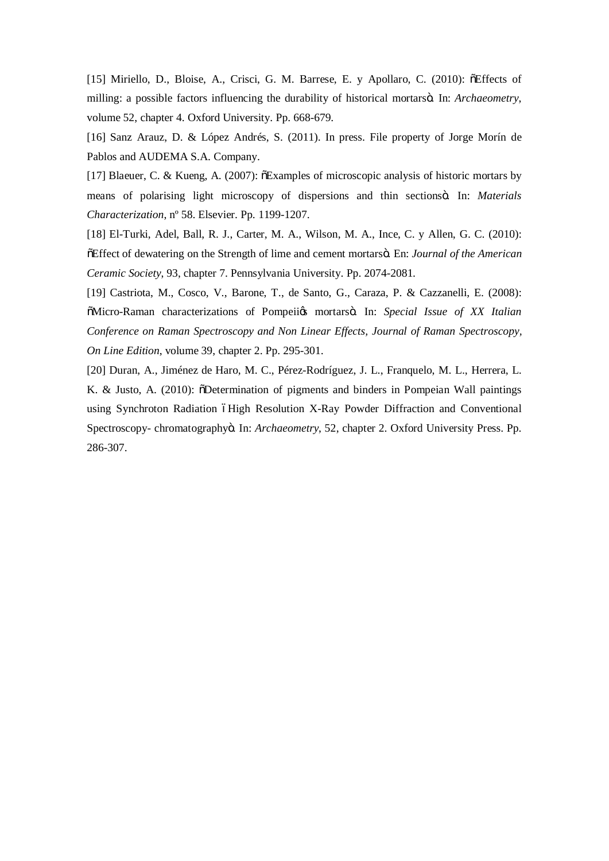[15] Miriello, D., Bloise, A., Crisci, G. M. Barrese, E. y Apollaro, C. (2010): õEffects of milling: a possible factors influencing the durability of historical mortarsö. In: *Archaeometry*, volume 52, chapter 4. Oxford University. Pp. 668-679.

[16] Sanz Arauz, D. & López Andrés, S. (2011). In press. File property of Jorge Morín de Pablos and AUDEMA S.A. Company.

[17] Blaeuer, C. & Kueng, A. (2007):  $\delta$ Examples of microscopic analysis of historic mortars by means of polarising light microscopy of dispersions and thin sectionsö. In: *Materials Characterization*, nº 58. Elsevier. Pp. 1199-1207.

[18] El-Turki, Adel, Ball, R. J., Carter, M. A., Wilson, M. A., Ince, C. y Allen, G. C. (2010):  $E$  Effect of dewatering on the Strength of lime and cement mortars o. En: *Journal of the American Ceramic Society*, 93, chapter 7. Pennsylvania University. Pp. 2074-2081.

[19] Castriota, M., Cosco, V., Barone, T., de Santo, G., Caraza, P. & Cazzanelli, E. (2008):  $\ddot{\text{o}}$ Micro-Raman characterizations of Pompeii $\alpha$  mortarsö. In: *Special Issue of XX Italian Conference on Raman Spectroscopy and Non Linear Effects, Journal of Raman Spectroscopy, On Line Edition*, volume 39, chapter 2. Pp. 295-301.

[20] Duran, A., Jiménez de Haro, M. C., Pérez-Rodríguez, J. L., Franquelo, M. L., Herrera, L. K. & Justo, A. (2010):  $\delta$ Determination of pigments and binders in Pompeian Wall paintings using Synchroton Radiation 6High Resolution X-Ray Powder Diffraction and Conventional Spectroscopy- chromatographyö. In: *Archaeometry*, 52, chapter 2. Oxford University Press. Pp. 286-307.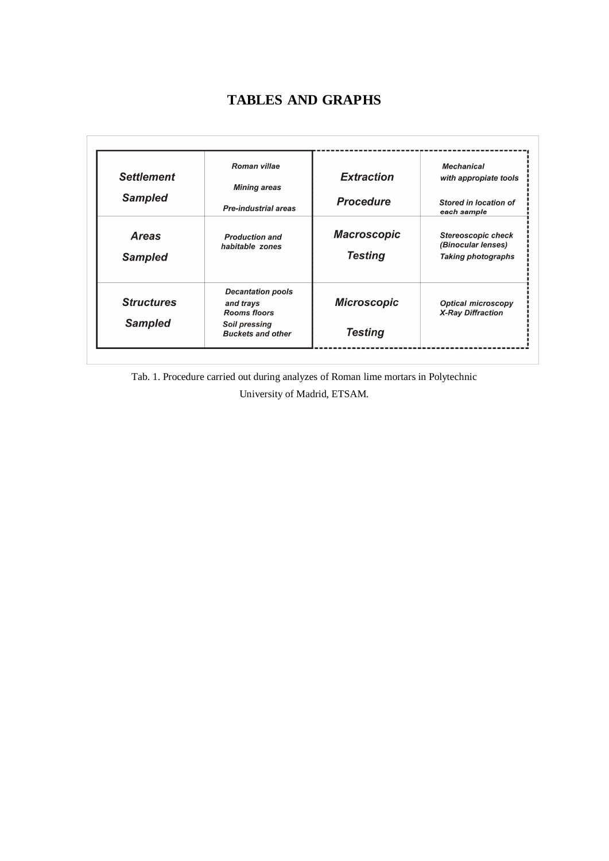# **TABLES AND GRAPHS**

| <b>Settlement</b><br><b>Sampled</b> | Roman villae<br><b>Mining areas</b>                          | <b>Extraction</b><br><b>Procedure</b> | <b>Mechanical</b><br>with appropiate tools<br>Stored in location of          |
|-------------------------------------|--------------------------------------------------------------|---------------------------------------|------------------------------------------------------------------------------|
|                                     | <b>Pre-industrial areas</b>                                  |                                       | each sample                                                                  |
| <b>Areas</b><br><b>Sampled</b>      | <b>Production and</b><br>habitable zones                     | <b>Macroscopic</b><br><b>Testing</b>  | <b>Stereoscopic check</b><br>(Binocular lenses)<br><b>Taking photographs</b> |
|                                     |                                                              |                                       |                                                                              |
| <b>Structures</b>                   | <b>Decantation pools</b><br>and trays<br><b>Rooms floors</b> | <b>Microscopic</b>                    | <b>Optical microscopy</b><br><b>X-Ray Diffraction</b>                        |
| <b>Sampled</b>                      | Soil pressing<br><b>Buckets and other</b>                    | <b>Testing</b>                        |                                                                              |

Tab. 1. Procedure carried out during analyzes of Roman lime mortars in Polytechnic

University of Madrid, ETSAM.